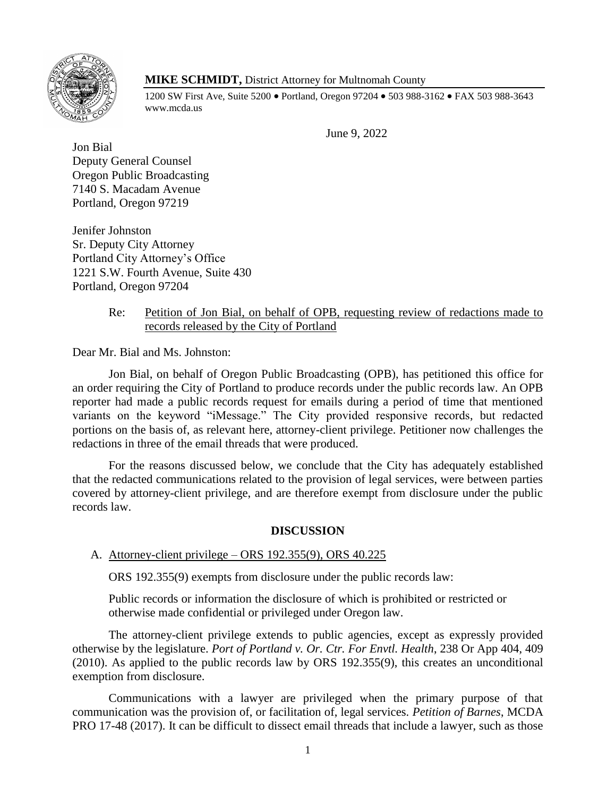

# **MIKE SCHMIDT,** District Attorney for Multnomah County

1200 SW First Ave, Suite 5200 • Portland, Oregon 97204 • 503 988-3162 • FAX 503 988-3643 www.mcda.us

June 9, 2022

Jon Bial Deputy General Counsel Oregon Public Broadcasting 7140 S. Macadam Avenue Portland, Oregon 97219

Jenifer Johnston Sr. Deputy City Attorney Portland City Attorney's Office 1221 S.W. Fourth Avenue, Suite 430 Portland, Oregon 97204

## Re: Petition of Jon Bial, on behalf of OPB, requesting review of redactions made to records released by the City of Portland

Dear Mr. Bial and Ms. Johnston:

Jon Bial, on behalf of Oregon Public Broadcasting (OPB), has petitioned this office for an order requiring the City of Portland to produce records under the public records law. An OPB reporter had made a public records request for emails during a period of time that mentioned variants on the keyword "iMessage." The City provided responsive records, but redacted portions on the basis of, as relevant here, attorney-client privilege. Petitioner now challenges the redactions in three of the email threads that were produced.

For the reasons discussed below, we conclude that the City has adequately established that the redacted communications related to the provision of legal services, were between parties covered by attorney-client privilege, and are therefore exempt from disclosure under the public records law.

## **DISCUSSION**

## A. Attorney-client privilege – ORS 192.355(9), ORS 40.225

ORS 192.355(9) exempts from disclosure under the public records law:

Public records or information the disclosure of which is prohibited or restricted or otherwise made confidential or privileged under Oregon law.

The attorney-client privilege extends to public agencies, except as expressly provided otherwise by the legislature. *Port of Portland v. Or. Ctr. For Envtl. Health*, 238 Or App 404, 409 (2010). As applied to the public records law by ORS 192.355(9), this creates an unconditional exemption from disclosure.

Communications with a lawyer are privileged when the primary purpose of that communication was the provision of, or facilitation of, legal services. *Petition of Barnes*, MCDA PRO 17-48 (2017). It can be difficult to dissect email threads that include a lawyer, such as those